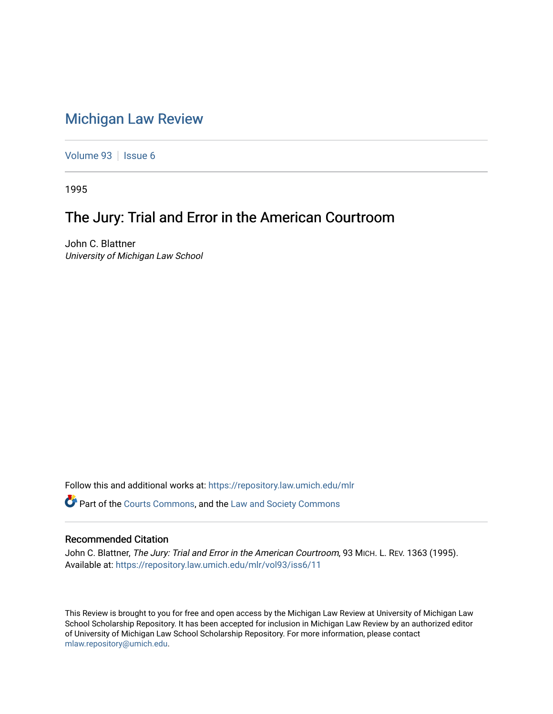## [Michigan Law Review](https://repository.law.umich.edu/mlr)

[Volume 93](https://repository.law.umich.edu/mlr/vol93) | [Issue 6](https://repository.law.umich.edu/mlr/vol93/iss6)

1995

## The Jury: Trial and Error in the American Courtroom

John C. Blattner University of Michigan Law School

Follow this and additional works at: [https://repository.law.umich.edu/mlr](https://repository.law.umich.edu/mlr?utm_source=repository.law.umich.edu%2Fmlr%2Fvol93%2Fiss6%2F11&utm_medium=PDF&utm_campaign=PDFCoverPages) 

Part of the [Courts Commons,](http://network.bepress.com/hgg/discipline/839?utm_source=repository.law.umich.edu%2Fmlr%2Fvol93%2Fiss6%2F11&utm_medium=PDF&utm_campaign=PDFCoverPages) and the [Law and Society Commons](http://network.bepress.com/hgg/discipline/853?utm_source=repository.law.umich.edu%2Fmlr%2Fvol93%2Fiss6%2F11&utm_medium=PDF&utm_campaign=PDFCoverPages) 

## Recommended Citation

John C. Blattner, The Jury: Trial and Error in the American Courtroom, 93 MICH. L. REV. 1363 (1995). Available at: [https://repository.law.umich.edu/mlr/vol93/iss6/11](https://repository.law.umich.edu/mlr/vol93/iss6/11?utm_source=repository.law.umich.edu%2Fmlr%2Fvol93%2Fiss6%2F11&utm_medium=PDF&utm_campaign=PDFCoverPages) 

This Review is brought to you for free and open access by the Michigan Law Review at University of Michigan Law School Scholarship Repository. It has been accepted for inclusion in Michigan Law Review by an authorized editor of University of Michigan Law School Scholarship Repository. For more information, please contact [mlaw.repository@umich.edu.](mailto:mlaw.repository@umich.edu)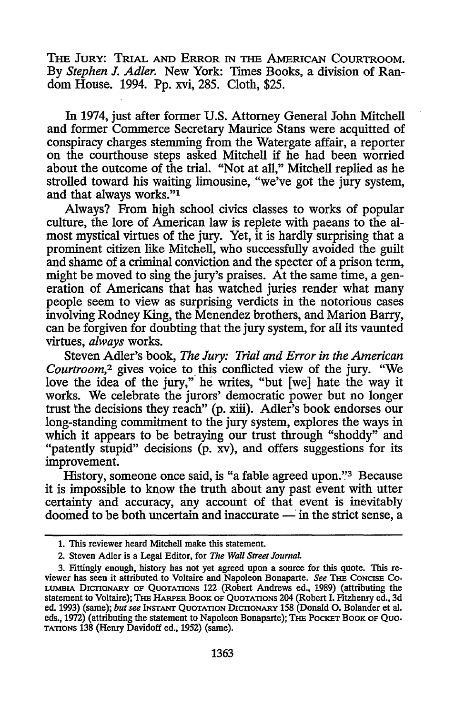THE JURY: TRIAL AND ERROR IN THE AMERICAN COURTROOM. **By** *Stephen J. Adler.* New York: Times Books, a division of Random House. 1994. Pp. xvi, 285. Cloth, \$25.

In 1974, just after former U.S. Attorney General John Mitchell and former Commerce Secretary Maurice Stans were acquitted of conspiracy charges stemming from the Watergate affair, a reporter on the courthouse steps asked Mitchell if he had been worried about the outcome of the trial. "Not at all," Mitchell replied as he strolled toward his waiting limousine, "we've got the jury system, and that always works."<sup>1</sup>

Always? From high school civics classes to works of popular culture, the lore of American law is replete with paeans to the almost mystical virtues of the jury. Yet, it is hardly surprising that a prominent citizen like Mitchell, who successfully avoided the guilt and shame of a criminal conviction and the specter of a prison term, might be moved to sing the jury's praises. At the same time, a generation of Americans that has watched juries render what many people seem to view as surprising verdicts in the notorious cases involving Rodney King, the Menendez brothers, and Marion Barry, can be forgiven for doubting that the jury system, for all its vaunted virtues, *always* works.

Steven Adler's book, *The Jury: Trial and Error in the American Courtroom,2* gives voice to this conflicted view of the jury. "We love the idea of the jury," he writes, "but [we] hate the way it works. We celebrate the jurors' democratic power but no longer trust the decisions they reach" (p. xiii). Adler's book endorses our long-standing commitment to the jury system, explores the ways in which it appears to be betraying our trust through "shoddy" and "patently stupid" decisions (p. xv), and offers suggestions for its improvement.

History, someone once said, is "a fable agreed upon."3 Because it is impossible to know the truth about any past event with utter certainty and accuracy, any account of that event is inevitably doomed to be both uncertain and inaccurate  $-$  in the strict sense, a

**<sup>1.</sup>** This reviewer heard Mitchell make this statement.

<sup>2.</sup> Steven Adler is a Legal Editor, for *The Wall Street JournaL*

**<sup>3.</sup>** Fittingly enough, history has not yet agreed upon a source for this quote. This re- viewer has seen it attributed to Voltaire and Napoleon Bonaparte. *See* THE **CONCISE CO-LUMBIA DIcIONARY OF QuOTATIONs** 122 (Robert Andrews ed., **1989)** (attributing the statement **to** Voltaire); **THE** HARPER BOOK OF QUOTATIONS 204 (Robert I. Fitzhenry ed., 3d **ed.** 1993) (same); *but see* **INSrANT** QUOTATION DIcrIONARY *158* (Donald **0.** Bolander et al. eds., 1972) (attributing the statement to Napoleon Bonaparte); THE POCKET BOOK OF QUO-**TATIONS** 138 (Henry Davidoff ed., 1952) (same).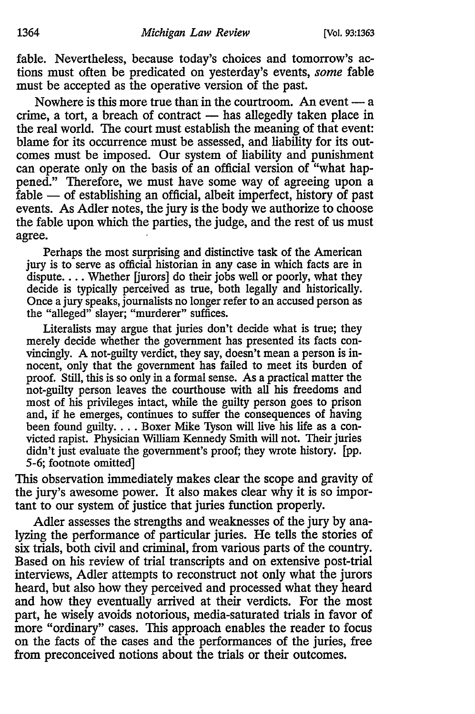fable. Nevertheless, because today's choices and tomorrow's actions must often be predicated on yesterday's events, *some* fable must be accepted as the operative version of the past.

Nowhere is this more true than in the courtroom. An event  $-\alpha$ crime, a tort, a breach of contract  $-$  has allegedly taken place in the real world. The court must establish the meaning of that event: blame for its occurrence must be assessed, and liability for its outcomes must be imposed. Our system of liability and punishment can operate only on the basis of an official version of "what happened." Therefore, we must have some way of agreeing upon a  $\hat{f}$ able  $-$  of establishing an official, albeit imperfect, history of past events. As Adler notes, the jury is the body we authorize to choose the fable upon which the parties, the judge, and the rest of us must agree.

Perhaps the most surprising and distinctive task of the American jury is to serve as official historian in any case in which facts are in dispute.... Whether [jurors] do their jobs well or poorly, what they decide is typically perceived as true, both legally and historically. Once a jury speaks, journalists no longer refer to an accused person as the "alleged" slayer; "murderer" suffices.

Literalists may argue that juries don't decide what is true; they merely decide whether the government has presented its facts convincingly. A not-guilty verdict, they say, doesn't mean a person is innocent, only that the government has failed to meet its burden of proof. Still, this is so only in a formal sense. As a practical matter the not-guilty person leaves the courthouse with all his freedoms and most of his privileges intact, while the guilty person goes to prison and, if he emerges, continues to suffer the consequences of having been found guilty.... Boxer Mike Tyson will live his life as a convicted rapist. Physician William Kennedy Smith will not. Their juries didn't just evaluate the government's proof; they wrote history. [pp. 5-6; footnote omitted]

This observation immediately makes clear the scope and gravity of the jury's awesome power. It also makes clear why it is so important to our system of justice that juries function properly.

Adler assesses the strengths and weaknesses of the jury by analyzing the performance of particular juries. He tells the stories of six trials, both civil and criminal, from various parts of the country. Based on his review of trial transcripts and on extensive post-trial interviews, Adler attempts to reconstruct not only what the jurors heard, but also how they perceived and processed what they heard and how they eventually arrived at their verdicts. For the most part, he wisely avoids notorious, media-saturated trials in favor of more "ordinary" cases. This approach enables the reader to focus on the facts of the cases and the performances of the juries, free from preconceived notions about the trials or their outcomes.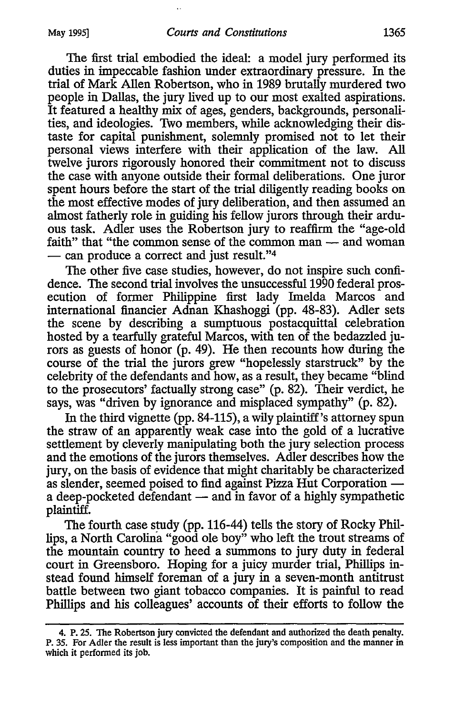The first trial embodied the ideal: a model jury performed its duties in impeccable fashion under extraordinary pressure. In the trial of Mark Allen Robertson, who in 1989 brutally murdered two people in Dallas, the jury lived up to our most exalted aspirations. It featured a healthy mix of ages, genders, backgrounds, personalities, and ideologies. Two members, while acknowledging their distaste for capital punishment, solemnly promised not to let their personal views interfere with their application of the law. All twelve jurors rigorously honored their commitment not to discuss the case with anyone outside their formal deliberations. One juror spent hours before the start of the trial diligently reading books on the most effective modes of jury deliberation, and then assumed an almost fatherly role in guiding his fellow jurors through their arduous task. Adler uses the Robertson jury to reaffirm the "age-old faith" that "the common sense of the common man - and woman **-** can produce a correct and just result."'4

The other five case studies, however, do not inspire such confidence. The second trial involves the unsuccessful 1990 federal prosecution of former Philippine first lady Imelda Marcos and international financier Adnan Khashoggi (pp. 48-83). Adler sets the scene by describing a sumptuous postacquittal celebration hosted by a tearfully grateful Marcos, with ten of the bedazzled jurors as guests of honor (p. 49). He then recounts how during the course of the trial the jurors grew "hopelessly starstruck" by the celebrity of the defendants and how, as a result, they became "blind to the prosecutors' factually strong case" (p. 82). Their verdict, he says, was "driven by ignorance and misplaced sympathy" (p. 82).

In the third vignette (pp. 84-115), a wily plaintiff's attorney spun the straw of an apparently weak case into the gold of a lucrative settlement by cleverly manipulating both the jury selection process and the emotions of the jurors themselves. Adler describes how the jury, on the basis of evidence that might charitably be characterized as slender, seemed poised to find against Pizza Hut Corporation  a deep-pocketed defendant - and in favor of a highly sympathetic plaintiff.

The fourth case study (pp. 116-44) tells the story of Rocky Phillips, a North Carolina "good ole boy" who left the trout streams of the mountain country to heed a summons to jury duty in federal court in Greensboro. Hoping for a juicy murder trial, Phillips instead found himself foreman of a jury in a seven-month antitrust battle between two giant tobacco companies. It is painful to read Phillips and his colleagues' accounts of their efforts to follow the

<sup>4.</sup> P. **25.** The Robertson jury convicted the defendant and authorized the death penalty. P. 35. For Adler the result is less important than the jury's composition and the manner in which it performed its job.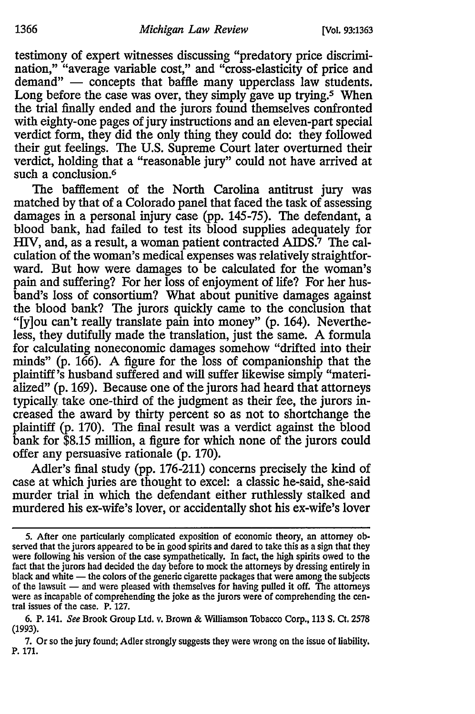testimony of expert witnesses discussing "predatory price discrimination," "average variable cost," and "cross-elasticity of price and demand" - concepts that baffle many upperclass law students. Long before the case was over, they simply gave up trying.<sup>5</sup> When the trial finally ended and the jurors found themselves confronted with eighty-one pages of jury instructions and an eleven-part special verdict form, they did the only thing they could do: they followed their gut feelings. The U.S. Supreme Court later overturned their verdict, holding that a "reasonable jury" could not have arrived at such a conclusion.<sup>6</sup>

The bafflement of the North Carolina antitrust jury was matched by that of a Colorado panel that faced the task of assessing damages in a personal injury case (pp. 145-75). The defendant, a blood bank, had failed to test its blood supplies adequately for HIV, and, as a result, a woman patient contracted AIDS.<sup>7</sup> The calculation of the woman's medical expenses was relatively straightforward. But how were damages to be calculated for the woman's pain and suffering? For her loss of enjoyment of life? For her husband's loss of consortium? What about punitive damages against the blood bank? The jurors quickly came to the conclusion that "[y]ou can't really translate pain into money" (p. 164). Nevertheless, they dutifully made the translation, just the same. A formula for calculating noneconomic damages somehow "drifted into their minds" (p. 166). A figure for the loss of companionship that the plaintiff's husband suffered and will suffer likewise simply "materialized" (p. 169). Because one of the jurors had heard that attorneys typically take one-third of the judgment as their fee, the jurors increased the award by thirty percent so as not to shortchange the plaintiff (p. 170). The final result was a verdict against the blood bank for \$8.15 million, a figure for which none of the jurors could offer any persuasive rationale (p. 170).

Adler's final study (pp. 176-211) concerns precisely the kind of case at which juries are thought to excel: a classic he-said, she-said murder trial in which the defendant either ruthlessly stalked and murdered his ex-wife's lover, or accidentally shot his ex-wife's lover

**<sup>5.</sup>** After one particularly complicated exposition of economic theory, an attorney **ob**served that the jurors appeared to be in good spirits and dared to take this as a sign that they were following his version of the case sympathetically. In fact, the high spirits owed to the fact that the jurors had decided the day before to mock the attorneys **by** dressing entirely in black and white - the colors of the generic cigarette packages that were among the subjects of the lawsuit — and were pleased with themselves for having pulled it off. The attorneys were as incapable of comprehending the joke as the jurors were of comprehending the central issues of the case. P. **127.**

**<sup>6.</sup>** P. 141. See Brook Group Ltd. v. Brown **&** Williamson Tobacco Corp., **113 S.** Ct. **2578** (1993).

**<sup>7.</sup>** Or so the jury found; Adler strongly suggests they were wrong on the issue of liability. P. **171.**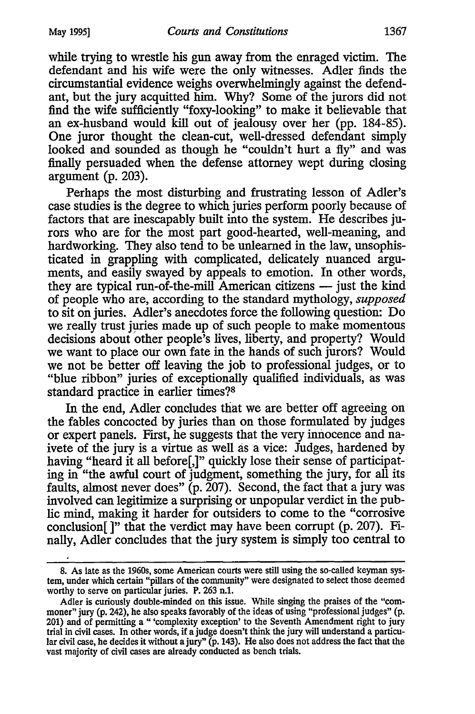while trying to wrestle his gun away from the enraged victim. The defendant and his wife were the only witnesses. Adler finds the circumstantial evidence weighs overwhelmingly against the defendant, but the jury acquitted him. Why? Some of the jurors did not find the wife sufficiently "foxy-looking" to make it believable that an ex-husband would kill out of jealousy over her (pp. 184-85). One juror thought the clean-cut, well-dressed defendant simply looked and sounded as though he "couldn't hurt a fly" and was finally persuaded when the defense attorney wept during closing argument (p. 203).

Perhaps the most disturbing and frustrating lesson of Adler's case studies is the degree to which juries perform poorly because of factors that are inescapably built into the system. He describes jurors who are for the most part good-hearted, well-meaning, and hardworking. They also tend to be unlearned in the law, unsophisticated in grappling with complicated, delicately nuanced arguments, and easily swayed by appeals to emotion. In other words, they are typical run-of-the-mill American citizens — just the kind of people who are, according to the standard mythology, *supposed* to sit on juries. Adler's anecdotes force the following question: Do we really trust juries made up of such people to make momentous decisions about other people's lives, liberty, and property? Would we want to place our own fate in the hands of such jurors? Would we not be better off leaving the job to professional judges, or to "blue ribbon" juries of exceptionally qualified individuals, as was standard practice in earlier times?<sup>8</sup>

In the end, Adler concludes that we are better off agreeing on the fables concocted by juries than on those formulated by judges or expert panels. First, he suggests that the very innocence and naivete of the jury is a virtue as well as a vice: Judges, hardened by having "heard it all before[,]" quickly lose their sense of participating in "the awful court of judgment, something the jury, for all its faults, almost never does" (p. 207). Second, the fact that a jury was involved can legitimize a surprising or unpopular verdict in the public mind, making it harder for outsiders to come to the "corrosive conclusion[ **I"** that the verdict may have been corrupt (p. 207). Finally, Adler concludes that the jury system is simply too central to

**<sup>8.</sup>** As late as the 1960s, some American courts were still using the so-called keyman system, under which certain "pillars of the community" were designated to select those deemed worthy to serve on particular juries. P. 263 n.1.

Adler is curiously double-minded on this issue. While singing the praises of the "commoner" jury (p. 242), he also speaks favorably of the ideas of using "professional judges" (p. 201) and of permitting a "'complexity exception' to the Seventh Amendment right to jury trial in civil cases. In other words, if a judge doesn't think the jury will understand a particular civil case, he decides it without a jury"  $(p. 143)$ . He also does not address the fact that the vast majority of civil cases are already conducted as bench trials.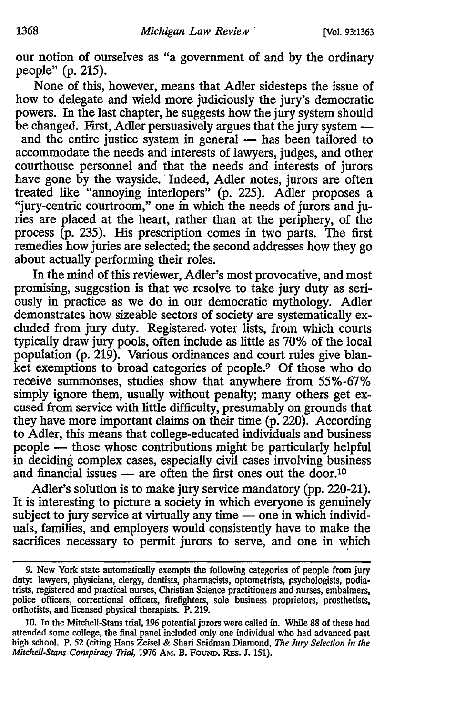our notion of ourselves as "a government of and by the ordinary people" (p. 215).

None of this, however, means that Adler sidesteps the issue of how to delegate and wield more judiciously the jury's democratic powers. In the last chapter, he suggests how the jury system should be changed. First, Adler persuasively argues that the jury system **-**

and the entire justice system in general  $-$  has been tailored to accommodate the needs and interests of lawyers, judges, and other courthouse personnel and that the needs and interests of jurors have gone by the wayside. 'Indeed, Adler notes, jurors are often treated like "annoying interlopers" (p. 225). Adler proposes a "jury-centric courtroom," one in which the needs of jurors and juries are placed at the heart, rather than at the periphery, of the process (p. 235). His prescription comes in two parts. The first remedies how juries are selected; the second addresses how they go about actually performing their roles.

In the mind of this reviewer, Adler's most provocative, and most promising, suggestion is that we resolve to take jury duty as seriously in practice as we do in our democratic mythology. Adler demonstrates how sizeable sectors of society are systematically excluded from jury duty. Registered, voter lists, from which courts typically draw jury pools, often include as little as 70% of the local population (p. 219). Various ordinances and court rules give blanket exemptions to broad categories of people.<sup>9</sup> Of those who do receive summonses, studies show that anywhere from 55%-67% simply ignore them, usually without penalty; many others get excused from service with little difficulty, presumably on grounds that they have more important claims on their time (p. 220). According to Adler, this means that college-educated individuals and business people - those whose contributions might be particularly helpful in deciding complex cases, especially civil cases involving business and financial issues  $-$  are often the first ones out the door.<sup>10</sup>

Adler's solution is to make jury service mandatory (pp. 220-21). It is interesting to picture a society in which everyone is genuinely subject to jury service at virtually any time — one in which individuals, families, and employers would consistently have to make the sacrifices necessary to permit jurors to serve, and one in which

<sup>9.</sup> New York state automatically exempts the following categories of people from jury duty: lawyers, physicians, clergy, dentists, pharmacists, optometrists, psychologists, podiatrists, registered and practical nurses, Christian Science practitioners and nurses, embalmers, police officers, correctional officers, firefighters, sole business proprietors, prosthetists, orthotists, and licensed physical therapists. P. 219.

<sup>10.</sup> In the Mitchell-Stans trial, **196** potential jurors were called in. While **88** of these had attended some college, the final panel included only one individual who had advanced past high school. P. 52 (citing Hans Zeisel & Shari Seidman Diamond, *The Jury Selection in the Mitchell-Stans Conspiracy Trial,* 1976 AM. B. FouND. REs. J. 151).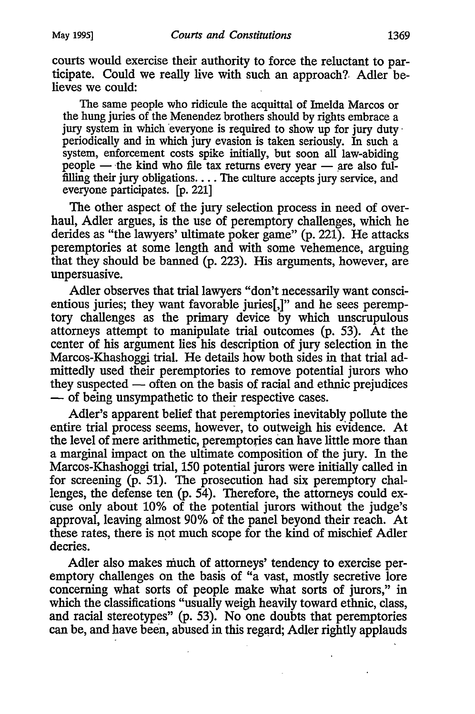courts would exercise their authority to force the reluctant to participate. Could we really live with such an approach?. Adler believes we could:

The same people who ridicule the acquittal of Imelda Marcos or the hung juries of the Menendez brothers should by rights embrace a jury system in which everyone is required to show up for jury duty. periodically and in which jury evasion is taken seriously. In such a system, enforcement costs spike initially, but soon all law-abiding people - the kind who file tax returns every year - are also fulfilling their jury obligations.... The culture accepts jury service, and everyone participates. [p. 221]

The other aspect of the jury selection process in need of overhaul, Adler argues, is the use of peremptory challenges, which he derides as "the lawyers' ultimate poker game" (p. 221). He attacks peremptories at some length and with some vehemence, arguing that they should be banned (p. 223). His arguments, however, are unpersuasive.

Adler observes that trial lawyers "don't necessarily want conscientious juries; they want favorable juries[,]" and he sees peremptory challenges as the primary device by which unscrupulous attorneys attempt to manipulate trial outcomes (p. 53). At the center of his argument lies his description of jury selection in the Marcos-Khashoggi trial. He details how both sides in that trial admittedly used their peremptories to remove potential jurors who they suspected  $-$  often on the basis of racial and ethnic prejudices **-** of being unsympathetic to their respective cases.

Adler's apparent belief that peremptories inevitably pollute the entire trial process seems, however, to outweigh his evidence. At the level of mere arithmetic, peremptories can have little more than a marginal impact on the ultimate composition of the jury. In the Marcos-Khashoggi trial, 150 potential jurors were initially called in for screening (p. 51). The prosecution had six peremptory challenges, the defense ten (p. 54). Therefore, the attorneys could excuse only about 10% of the potential jurors without the judge's approval, leaving almost 90% of the panel beyond their reach. At these rates, there is not much scope for the kind of mischief Adler decries.

Adler also makes much of attorneys' tendency to exercise peremptory challenges on the basis of "a vast, mostly secretive lore concerning what sorts of people make what sorts of jurors," in which the classifications "usually weigh heavily toward ethnic, class, and racial stereotypes" (p. 53). No one doubts that peremptories can be, and have been, abused in this regard; Adler rightly applauds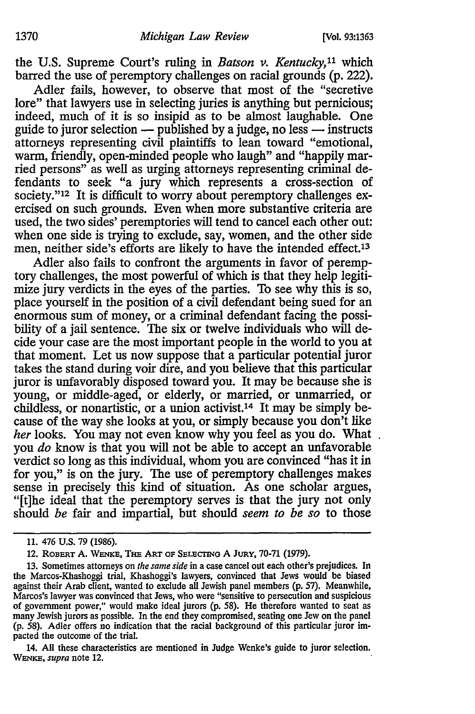the **U.S.** Supreme Court's ruling in *Batson v. Kentucky,11* which barred the use of peremptory challenges on racial grounds **(p.** 222).

Adler fails, however, to observe that most of the "secretive lore" that lawyers use in selecting juries is anything but pernicious; indeed, much of it is so insipid as to be almost laughable. One guide to juror selection  $-$  published by a judge, no less  $-$  instructs attorneys representing civil plaintiffs to lean toward "emotional, warm, friendly, open-minded people who laugh" and "happily married persons" as well as urging attorneys representing criminal defendants to seek "a jury which represents a cross-section of society."<sup>12</sup> It is difficult to worry about peremptory challenges exercised on such grounds. Even when more substantive criteria are used, the two sides' peremptories will tend to cancel each other out: when one side is trying to exclude, say, women, and the other side men, neither side's efforts are likely to have the intended effect.<sup>13</sup>

Adler also fails to confront the arguments in favor of peremptory challenges, the most powerful of which is that they help legitimize jury verdicts in the eyes of the parties. To see why this is so, place yourself in the position of a civil defendant being sued for an enormous sum of money, or a criminal defendant facing the possibility of a jail sentence. The six or twelve individuals who will decide your case are the most important people in the world to you at that moment. Let us now suppose that a particular potential juror takes the stand during voir dire, and you believe that this particular juror is unfavorably disposed toward you. It may be because she is young, or middle-aged, or elderly, or married, or unmarried, or childless, or nonartistic, or a union activist.14 It may be simply because of the way she looks at you, or simply because you don't like *her* looks. You may not even know why you feel as you do. What you *do* know is that you will not be able to accept an unfavorable verdict so long as this individual, whom you are convinced "has it in for you," is on the jury. The use of peremptory challenges makes sense in precisely this kind of situation. As one scholar argues, "[t]he ideal that the peremptory serves is that the jury not only should *be* fair and impartial, but should *seem to be so* to those

14. All these characteristics are mentioned in Judge Wenke's guide to juror selection. *WENvE, supra* note 12.

**<sup>11.</sup>** 476 **U.S.** 79 (1986).

<sup>12.</sup> ROBERT A. WENKE, THE ART OF SELECTING A JURY, 70-71 (1979).

**<sup>13.</sup>** Sometimes attorneys on *the same side* in a case cancel out each other's prejudices. In the Marcos-Khashoggi trial, Khashoggi's lawyers, convinced that Jews would be biased against their Arab client, wanted to exclude all Jewish panel members (p. 57). Meanwhile, Marcos's lawyer was convinced that Jews, who were "sensitive to persecution and suspicious of government power," would make ideal jurors (p. 58). He therefore wanted to seat as many Jewish jurors as possible. In the end they compromised, seating one Jew on the panel (p. 58). Adler offers no indication that the racial background of this particular juror impacted the outcome of the trial.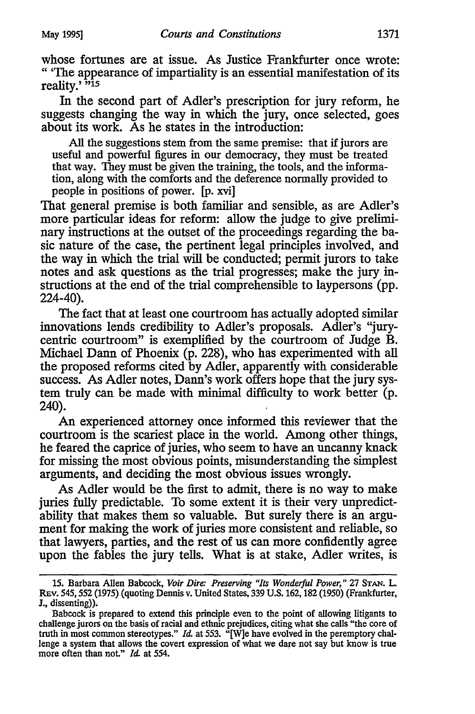whose fortunes are at issue. As Justice Frankfurter once wrote: "'The appearance of impartiality is an essential manifestation of its reality.' <sup>"15</sup>

In the second part of Adler's prescription for jury reform, he suggests changing the way in which the jury, once selected, goes about its work. As he states in the introduction:

All the suggestions stem from the same premise: that if jurors are useful and powerful figures in our democracy, they must be treated that way. They must be given the training, the tools, and the information, along with the comforts and the deference normally provided to people in positions of power. [p. xvi]

That general premise is both familiar and sensible, as are Adler's more particular ideas for reform: allow the judge to give preliminary instructions at the outset of the proceedings regarding the basic nature of the case, the pertinent legal principles involved, and the way in which the trial will be conducted; permit jurors to take notes and ask questions as the trial progresses; make the jury instructions at the end of the trial comprehensible to laypersons (pp. 224-40).

The fact that at least one courtroom has actually adopted similar innovations lends credibility to Adler's proposals. Adler's "jurycentric courtroom" is exemplified by the courtroom of Judge B. Michael Dann of Phoenix (p. 228), who has experimented with all the proposed reforms cited by Adler, apparently with considerable success. As Adler notes, Dan's work offers hope that the jury system truly can be made with minimal difficulty to work better (p. 240).

An experienced attorney once informed this reviewer that the courtroom is the scariest place in the world. Among other things, he feared the caprice of juries, who seem to have an uncanny knack for missing the most obvious points, misunderstanding the simplest arguments, and deciding the most obvious issues wrongly.

As Adler would be the first to admit, there is no way to make juries fully predictable. To some extent it is their very unpredictability that makes them so valuable. But surely there is an argument for making the work of juries more consistent and reliable, so that lawyers, parties, and the rest of us can more confidently agree upon the fables the jury tells. What is at stake, Adler writes, is

<sup>15.</sup> Barbara Allen Babcock, *Voir Dira" Preserving "Its Wonderful Power,"* 27 **STAN.** L. REv. 545,552 (1975) (quoting Dennis v. United States, 339 U.S. 162,182 (1950) (Frankfurter, **J.,** dissenting)).

Babcock is prepared to extend this principle even to the point of allowing litigants to challenge jurors on the basis of racial and ethnic prejudices, citing what she calls "the core of truth in most common stereotypes." *Id.* at 553. "[W]e have evolved in the peremptory challenge a system that allows the covert expression of what we dare not say but know is true more often than not." *Id.* at 554.